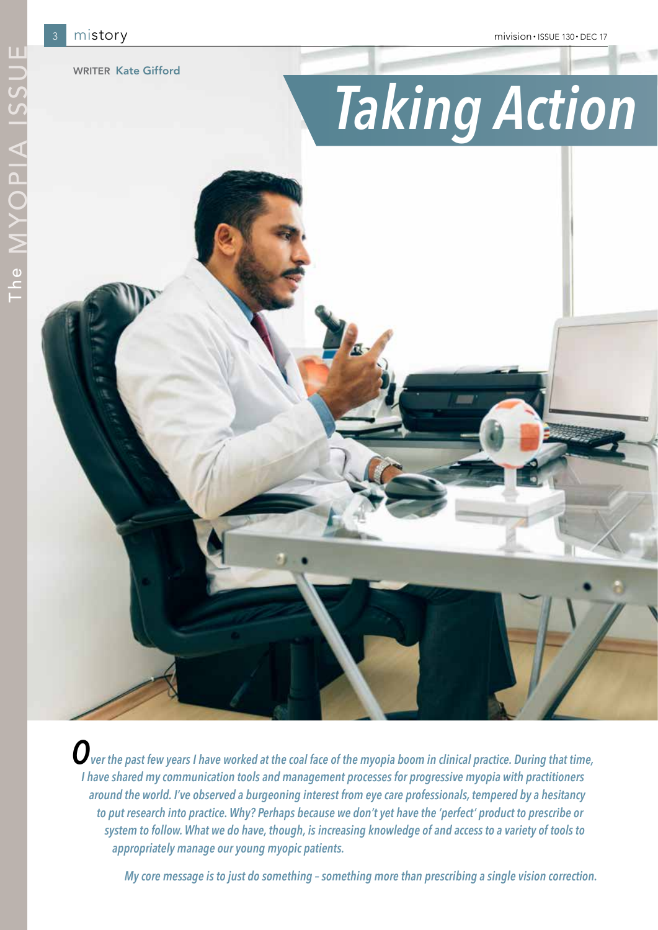WRITER Kate Gifford

# *Taking Action*



**O** ver the past few years I have worked at the coal face of the myopia boom in clinical practice. During that time, *I have shared my communication tools and management processes for progressive myopia with practitioners around the world. I've observed a burgeoning interest from eye care professionals, tempered by a hesitancy to put research into practice. Why? Perhaps because we don't yet have the 'perfect' product to prescribe or system to follow. What we do have, though, is increasing knowledge of and access to a variety of tools to appropriately manage our young myopic patients.*

*My core message is to just do something – something more than prescribing a single vision correction.*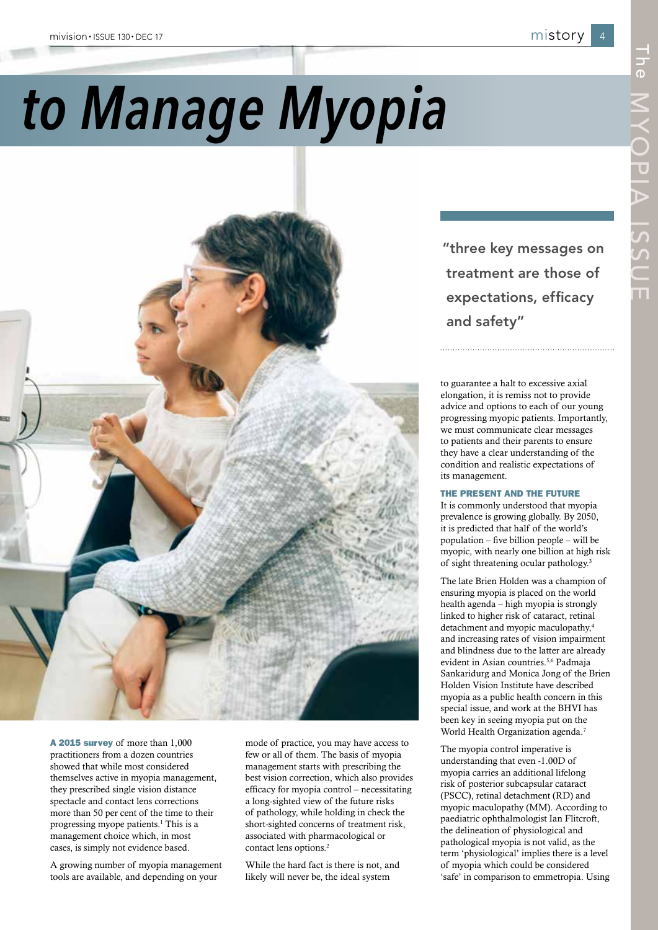### The MYOPIA ISSUE $\breve{\mathbf{U}}$  $\frac{1}{2}$ ш

## *Taking Action to Manage Myopia*



A 2015 survey of more than 1,000 practitioners from a dozen countries showed that while most considered themselves active in myopia management, they prescribed single vision distance spectacle and contact lens corrections more than 50 per cent of the time to their progressing myope patients.<sup>1</sup> This is a management choice which, in most cases, is simply not evidence based.

A growing number of myopia management tools are available, and depending on your

mode of practice, you may have access to few or all of them. The basis of myopia management starts with prescribing the best vision correction, which also provides efficacy for myopia control – necessitating a long-sighted view of the future risks of pathology, while holding in check the short-sighted concerns of treatment risk, associated with pharmacological or contact lens options.<sup>2</sup>

While the hard fact is there is not, and likely will never be, the ideal system

"three key messages on treatment are those of expectations, efficacy and safety"

to guarantee a halt to excessive axial elongation, it is remiss not to provide advice and options to each of our young progressing myopic patients. Importantly, we must communicate clear messages to patients and their parents to ensure they have a clear understanding of the condition and realistic expectations of its management.

### THE PRESENT AND THE FUTURE

It is commonly understood that myopia prevalence is growing globally. By 2050, it is predicted that half of the world's population – five billion people – will be myopic, with nearly one billion at high risk of sight threatening ocular pathology.3

The late Brien Holden was a champion of ensuring myopia is placed on the world health agenda – high myopia is strongly linked to higher risk of cataract, retinal detachment and myopic maculopathy,<sup>4</sup> and increasing rates of vision impairment and blindness due to the latter are already evident in Asian countries.<sup>5,6</sup> Padmaia Sankaridurg and Monica Jong of the Brien Holden Vision Institute have described myopia as a public health concern in this special issue, and work at the BHVI has been key in seeing myopia put on the World Health Organization agenda.<sup>7</sup>

The myopia control imperative is understanding that even -1.00D of myopia carries an additional lifelong risk of posterior subcapsular cataract (PSCC), retinal detachment (RD) and myopic maculopathy (MM). According to paediatric ophthalmologist Ian Flitcroft, the delineation of physiological and pathological myopia is not valid, as the term 'physiological' implies there is a level of myopia which could be considered 'safe' in comparison to emmetropia. Using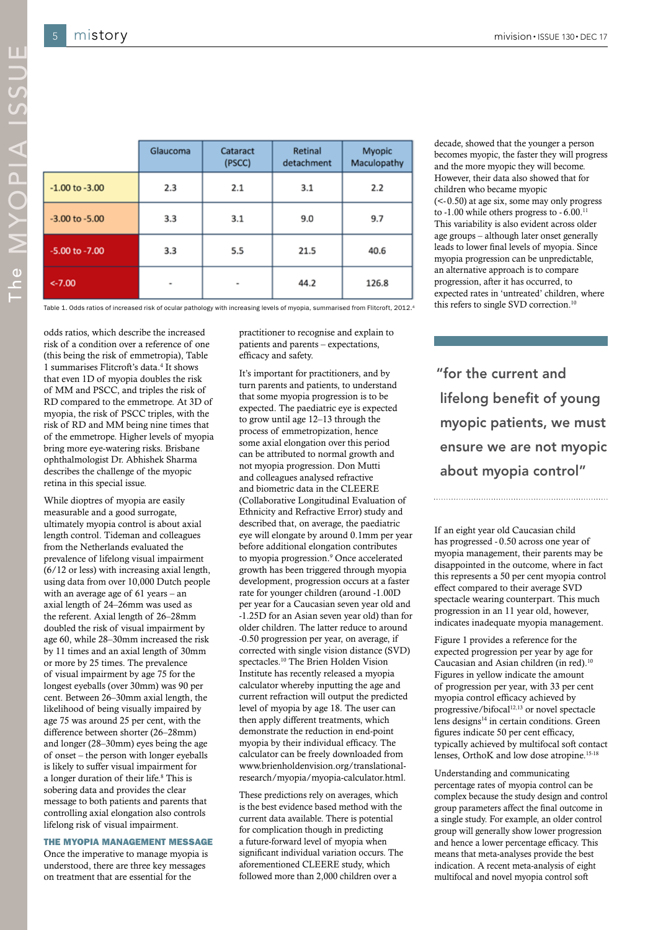|                    | Glaucoma | Cataract<br>(PSCC) | Retinal<br>detachment | <b>Myopic</b><br>Maculopathy |
|--------------------|----------|--------------------|-----------------------|------------------------------|
| $-1.00$ to $-3.00$ | 2.3      | 2.1                | 3.1                   | 2.2                          |
| $-3.00$ to $-5.00$ | 3.3      | 3.1                | 9.0                   | 9.7                          |
| $-5.00$ to $-7.00$ | 3.3      | 5.5                | 21.5                  | 40.6                         |
| $<-7.00$           | ۰        | ۰                  | 44.2                  | 126.8                        |

Table 1. Odds ratios of increased risk of ocular pathology with increasing levels of myopia, summarised from Flitcroft. 2012.<sup>4</sup>

odds ratios, which describe the increased risk of a condition over a reference of one (this being the risk of emmetropia), Table 1 summarises Flitcroft's data.4 It shows that even 1D of myopia doubles the risk of MM and PSCC, and triples the risk of RD compared to the emmetrope. At 3D of myopia, the risk of PSCC triples, with the risk of RD and MM being nine times that of the emmetrope. Higher levels of myopia bring more eye-watering risks. Brisbane ophthalmologist Dr. Abhishek Sharma describes the challenge of the myopic retina in this special issue.

While dioptres of myopia are easily measurable and a good surrogate, ultimately myopia control is about axial length control. Tideman and colleagues from the Netherlands evaluated the prevalence of lifelong visual impairment (6/12 or less) with increasing axial length, using data from over 10,000 Dutch people with an average age of 61 years – an axial length of 24–26mm was used as the referent. Axial length of 26–28mm doubled the risk of visual impairment by age 60, while 28–30mm increased the risk by 11 times and an axial length of 30mm or more by 25 times. The prevalence of visual impairment by age 75 for the longest eyeballs (over 30mm) was 90 per cent. Between 26–30mm axial length, the likelihood of being visually impaired by age 75 was around 25 per cent, with the difference between shorter (26–28mm) and longer (28–30mm) eyes being the age of onset – the person with longer eyeballs is likely to suffer visual impairment for a longer duration of their life.<sup>8</sup> This is sobering data and provides the clear message to both patients and parents that controlling axial elongation also controls lifelong risk of visual impairment.

### THE MYOPIA MANAGEMENT MESSAGE

Once the imperative to manage myopia is understood, there are three key messages on treatment that are essential for the

practitioner to recognise and explain to patients and parents – expectations, efficacy and safety.

It's important for practitioners, and by turn parents and patients, to understand that some myopia progression is to be expected. The paediatric eye is expected to grow until age 12–13 through the process of emmetropization, hence some axial elongation over this period can be attributed to normal growth and not myopia progression. Don Mutti and colleagues analysed refractive and biometric data in the CLEERE (Collaborative Longitudinal Evaluation of Ethnicity and Refractive Error) study and described that, on average, the paediatric eye will elongate by around 0.1mm per year before additional elongation contributes to myopia progression.<sup>9</sup> Once accelerated growth has been triggered through myopia development, progression occurs at a faster rate for younger children (around -1.00D per year for a Caucasian seven year old and -1.25D for an Asian seven year old) than for older children. The latter reduce to around -0.50 progression per year, on average, if corrected with single vision distance (SVD) spectacles.<sup>10</sup> The Brien Holden Vision Institute has recently released a myopia calculator whereby inputting the age and current refraction will output the predicted level of myopia by age 18. The user can then apply different treatments, which demonstrate the reduction in end-point myopia by their individual efficacy. The calculator can be freely downloaded from www.brienholdenvision.org/translationalresearch/myopia/myopia-calculator.html.

These predictions rely on averages, which is the best evidence based method with the current data available. There is potential for complication though in predicting a future-forward level of myopia when significant individual variation occurs. The aforementioned CLEERE study, which followed more than 2,000 children over a

decade, showed that the younger a person becomes myopic, the faster they will progress and the more myopic they will become. However, their data also showed that for children who became myopic (<- 0.50) at age six, some may only progress to  $-1.00$  while others progress to  $-6.00$ .<sup>11</sup> This variability is also evident across older age groups – although later onset generally leads to lower final levels of myopia. Since myopia progression can be unpredictable, an alternative approach is to compare progression, after it has occurred, to expected rates in 'untreated' children, where this refers to single SVD correction.<sup>10</sup>

"for the current and lifelong benefit of young myopic patients, we must ensure we are not myopic about myopia control"

If an eight year old Caucasian child has progressed - 0.50 across one year of myopia management, their parents may be disappointed in the outcome, where in fact this represents a 50 per cent myopia control effect compared to their average SVD spectacle wearing counterpart. This much progression in an 11 year old, however, indicates inadequate myopia management.

Figure 1 provides a reference for the expected progression per year by age for Caucasian and Asian children (in red).<sup>10</sup> Figures in yellow indicate the amount of progression per year, with 33 per cent myopia control efficacy achieved by progressive/bifocal<sup>12,13</sup> or novel spectacle lens designs<sup>14</sup> in certain conditions. Green figures indicate 50 per cent efficacy, typically achieved by multifocal soft contact lenses, OrthoK and low dose atropine.15-18

Understanding and communicating percentage rates of myopia control can be complex because the study design and control group parameters affect the final outcome in a single study. For example, an older control group will generally show lower progression and hence a lower percentage efficacy. This means that meta-analyses provide the best indication. A recent meta-analysis of eight multifocal and novel myopia control soft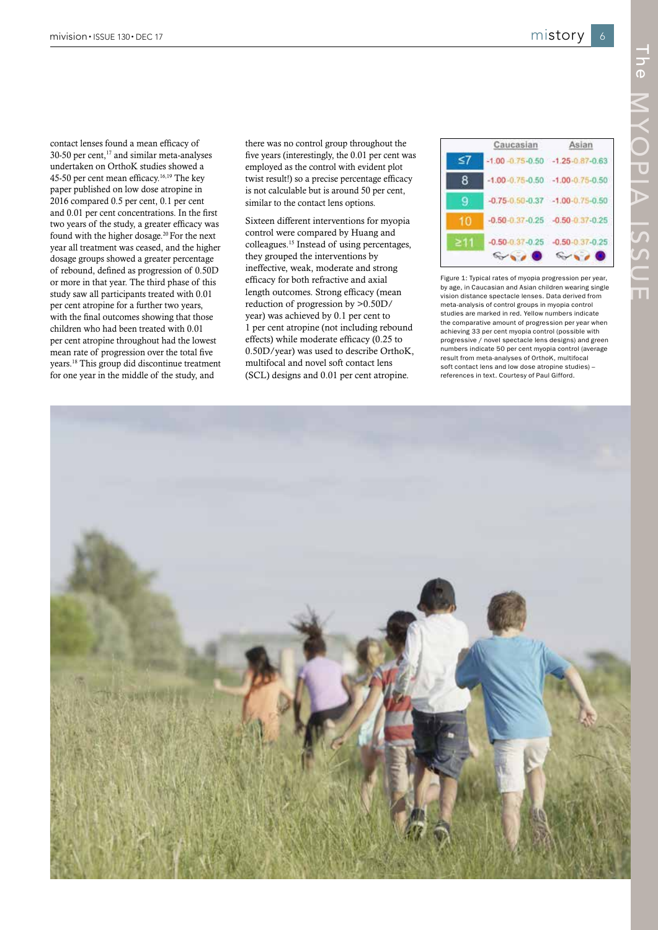The MYOPIA ISSUE $\bar{a}$  $\mathbf{\Omega}$ ۰ u

contact lenses found a mean efficacy of 30-50 per cent, $17$  and similar meta-analyses undertaken on OrthoK studies showed a 45-50 per cent mean efficacy.16,19 The key paper published on low dose atropine in 2016 compared 0.5 per cent, 0.1 per cent and 0.01 per cent concentrations. In the first two years of the study, a greater efficacy was found with the higher dosage.<sup>20</sup> For the next year all treatment was ceased, and the higher dosage groups showed a greater percentage of rebound, defined as progression of 0.50D or more in that year. The third phase of this study saw all participants treated with 0.01 per cent atropine for a further two years, with the final outcomes showing that those children who had been treated with 0.01 per cent atropine throughout had the lowest mean rate of progression over the total five years.18 This group did discontinue treatment for one year in the middle of the study, and

there was no control group throughout the five years (interestingly, the 0.01 per cent was employed as the control with evident plot twist result!) so a precise percentage efficacy is not calculable but is around 50 per cent, similar to the contact lens options.

Sixteen different interventions for myopia control were compared by Huang and colleagues.15 Instead of using percentages, they grouped the interventions by ineffective, weak, moderate and strong efficacy for both refractive and axial length outcomes. Strong efficacy (mean reduction of progression by >0.50D/ year) was achieved by 0.1 per cent to 1 per cent atropine (not including rebound effects) while moderate efficacy (0.25 to 0.50D/year) was used to describe OrthoK, multifocal and novel soft contact lens (SCL) designs and 0.01 per cent atropine.

|           | Caucasian                                  | Asian                                      |
|-----------|--------------------------------------------|--------------------------------------------|
| ≤7        | $-1.00 - 0.75 - 0.50 - 1.25 - 0.87 - 0.63$ |                                            |
| 8         | $-1.00 - 0.75 - 0.50 - 1.00 - 0.75 - 0.50$ |                                            |
|           | $-0.75 - 0.50 - 0.37 - 1.00 - 0.75 - 0.50$ |                                            |
| 10        | $-0.50 - 0.37 - 0.25 - 0.50 - 0.37 - 0.25$ |                                            |
| $\geq 11$ |                                            | $-0.50 - 0.37 - 0.25 - 0.50 - 0.37 - 0.25$ |
|           |                                            | ÷.                                         |

Figure 1: Typical rates of myopia progression per year, by age, in Caucasian and Asian children wearing single vision distance spectacle lenses. Data derived from meta-analysis of control groups in myopia control studies are marked in red. Yellow numbers indicate the comparative amount of progression per year when achieving 33 per cent myopia control (possible with progressive / novel spectacle lens designs) and green numbers indicate 50 per cent myopia control (average result from meta-analyses of OrthoK, multifocal soft contact lens and low dose atropine studies) – references in text. Courtesy of Paul Gifford.

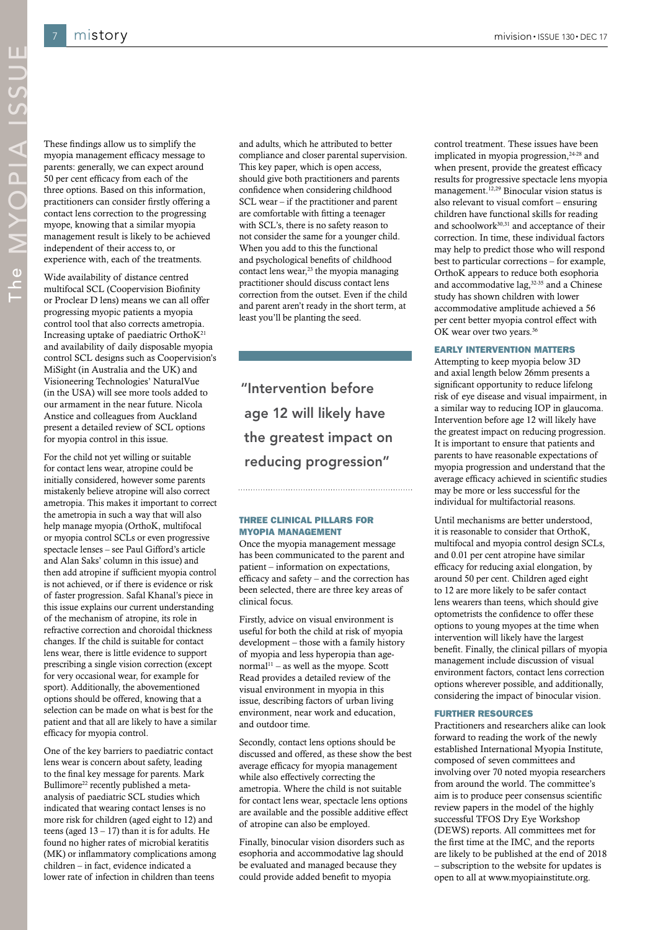These findings allow us to simplify the myopia management efficacy message to parents: generally, we can expect around 50 per cent efficacy from each of the three options. Based on this information, practitioners can consider firstly offering a contact lens correction to the progressing myope, knowing that a similar myopia management result is likely to be achieved independent of their access to, or experience with, each of the treatments.

Wide availability of distance centred multifocal SCL (Coopervision Biofinity or Proclear D lens) means we can all offer progressing myopic patients a myopia control tool that also corrects ametropia. Increasing uptake of paediatric Ortho $K<sup>21</sup>$ and availability of daily disposable myopia control SCL designs such as Coopervision's MiSight (in Australia and the UK) and Visioneering Technologies' NaturalVue (in the USA) will see more tools added to our armament in the near future. Nicola Anstice and colleagues from Auckland present a detailed review of SCL options for myopia control in this issue.

For the child not yet willing or suitable for contact lens wear, atropine could be initially considered, however some parents mistakenly believe atropine will also correct ametropia. This makes it important to correct the ametropia in such a way that will also help manage myopia (OrthoK, multifocal or myopia control SCLs or even progressive spectacle lenses – see Paul Gifford's article and Alan Saks' column in this issue) and then add atropine if sufficient myopia control is not achieved, or if there is evidence or risk of faster progression. Safal Khanal's piece in this issue explains our current understanding of the mechanism of atropine, its role in refractive correction and choroidal thickness changes. If the child is suitable for contact lens wear, there is little evidence to support prescribing a single vision correction (except for very occasional wear, for example for sport). Additionally, the abovementioned options should be offered, knowing that a selection can be made on what is best for the patient and that all are likely to have a similar efficacy for myopia control.

One of the key barriers to paediatric contact lens wear is concern about safety, leading to the final key message for parents. Mark Bullimore<sup>22</sup> recently published a metaanalysis of paediatric SCL studies which indicated that wearing contact lenses is no more risk for children (aged eight to 12) and teens (aged  $13 - 17$ ) than it is for adults. He found no higher rates of microbial keratitis (MK) or inflammatory complications among children – in fact, evidence indicated a lower rate of infection in children than teens

and adults, which he attributed to better compliance and closer parental supervision. This key paper, which is open access, should give both practitioners and parents confidence when considering childhood SCL wear – if the practitioner and parent are comfortable with fitting a teenager with SCL's, there is no safety reason to not consider the same for a younger child. When you add to this the functional and psychological benefits of childhood contact lens wear, $^{23}$  the myopia managing practitioner should discuss contact lens correction from the outset. Even if the child and parent aren't ready in the short term, at least you'll be planting the seed.

"Intervention before age 12 will likely have the greatest impact on reducing progression"

### THREE CLINICAL PILLARS FOR MYOPIA MANAGEMENT

Once the myopia management message has been communicated to the parent and patient – information on expectations, efficacy and safety – and the correction has been selected, there are three key areas of clinical focus.

Firstly, advice on visual environment is useful for both the child at risk of myopia development – those with a family history of myopia and less hyperopia than age $normal<sup>11</sup> - as well as the myope. Scott$ Read provides a detailed review of the visual environment in myopia in this issue, describing factors of urban living environment, near work and education, and outdoor time.

Secondly, contact lens options should be discussed and offered, as these show the best average efficacy for myopia management while also effectively correcting the ametropia. Where the child is not suitable for contact lens wear, spectacle lens options are available and the possible additive effect of atropine can also be employed.

Finally, binocular vision disorders such as esophoria and accommodative lag should be evaluated and managed because they could provide added benefit to myopia

control treatment. These issues have been implicated in myopia progression,<sup>24-28</sup> and when present, provide the greatest efficacy results for progressive spectacle lens myopia management.12,29 Binocular vision status is also relevant to visual comfort – ensuring children have functional skills for reading and schoolwork<sup>30,31</sup> and acceptance of their correction. In time, these individual factors may help to predict those who will respond best to particular corrections – for example, OrthoK appears to reduce both esophoria and accommodative lag,32-35 and a Chinese study has shown children with lower accommodative amplitude achieved a 56 per cent better myopia control effect with OK wear over two years.<sup>36</sup>

### EARLY INTERVENTION MATTERS

Attempting to keep myopia below 3D and axial length below 26mm presents a significant opportunity to reduce lifelong risk of eye disease and visual impairment, in a similar way to reducing IOP in glaucoma. Intervention before age 12 will likely have the greatest impact on reducing progression. It is important to ensure that patients and parents to have reasonable expectations of myopia progression and understand that the average efficacy achieved in scientific studies may be more or less successful for the individual for multifactorial reasons.

Until mechanisms are better understood, it is reasonable to consider that OrthoK, multifocal and myopia control design SCLs, and 0.01 per cent atropine have similar efficacy for reducing axial elongation, by around 50 per cent. Children aged eight to 12 are more likely to be safer contact lens wearers than teens, which should give optometrists the confidence to offer these options to young myopes at the time when intervention will likely have the largest benefit. Finally, the clinical pillars of myopia management include discussion of visual environment factors, contact lens correction options wherever possible, and additionally, considering the impact of binocular vision.

### FURTHER RESOURCES

Practitioners and researchers alike can look forward to reading the work of the newly established International Myopia Institute, composed of seven committees and involving over 70 noted myopia researchers from around the world. The committee's aim is to produce peer consensus scientific review papers in the model of the highly successful TFOS Dry Eye Workshop (DEWS) reports. All committees met for the first time at the IMC, and the reports are likely to be published at the end of 2018 – subscription to the website for updates is open to all at www.myopiainstitute.org.